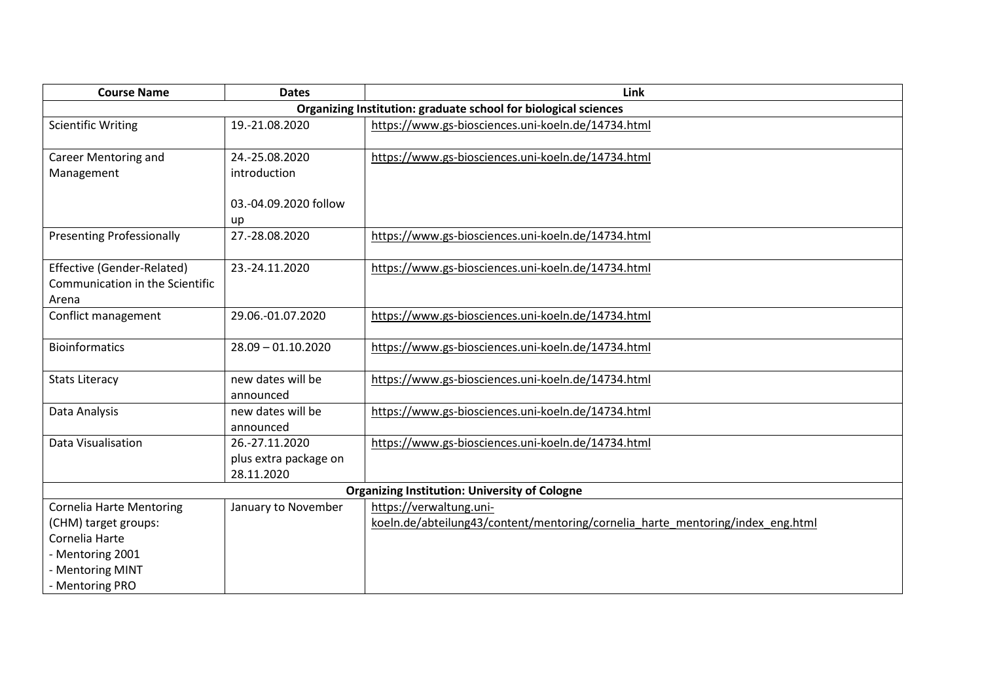| <b>Course Name</b>                                                                                                                   | <b>Dates</b>                                          | Link                                                                                                      |  |  |
|--------------------------------------------------------------------------------------------------------------------------------------|-------------------------------------------------------|-----------------------------------------------------------------------------------------------------------|--|--|
|                                                                                                                                      |                                                       | Organizing Institution: graduate school for biological sciences                                           |  |  |
| <b>Scientific Writing</b>                                                                                                            | 19.-21.08.2020                                        | https://www.gs-biosciences.uni-koeln.de/14734.html                                                        |  |  |
| <b>Career Mentoring and</b><br>Management                                                                                            | 24.-25.08.2020<br>introduction                        | https://www.gs-biosciences.uni-koeln.de/14734.html                                                        |  |  |
|                                                                                                                                      | 03.-04.09.2020 follow<br>up                           |                                                                                                           |  |  |
| <b>Presenting Professionally</b>                                                                                                     | 27.-28.08.2020                                        | https://www.gs-biosciences.uni-koeln.de/14734.html                                                        |  |  |
| Effective (Gender-Related)<br>Communication in the Scientific<br>Arena                                                               | 23.-24.11.2020                                        | https://www.gs-biosciences.uni-koeln.de/14734.html                                                        |  |  |
| Conflict management                                                                                                                  | 29.06.-01.07.2020                                     | https://www.gs-biosciences.uni-koeln.de/14734.html                                                        |  |  |
| <b>Bioinformatics</b>                                                                                                                | $28.09 - 01.10.2020$                                  | https://www.gs-biosciences.uni-koeln.de/14734.html                                                        |  |  |
| <b>Stats Literacy</b>                                                                                                                | new dates will be<br>announced                        | https://www.gs-biosciences.uni-koeln.de/14734.html                                                        |  |  |
| Data Analysis                                                                                                                        | new dates will be<br>announced                        | https://www.gs-biosciences.uni-koeln.de/14734.html                                                        |  |  |
| Data Visualisation                                                                                                                   | 26.-27.11.2020<br>plus extra package on<br>28.11.2020 | https://www.gs-biosciences.uni-koeln.de/14734.html                                                        |  |  |
| <b>Organizing Institution: University of Cologne</b>                                                                                 |                                                       |                                                                                                           |  |  |
| <b>Cornelia Harte Mentoring</b><br>(CHM) target groups:<br>Cornelia Harte<br>- Mentoring 2001<br>- Mentoring MINT<br>- Mentoring PRO | January to November                                   | https://verwaltung.uni-<br>koeln.de/abteilung43/content/mentoring/cornelia harte mentoring/index eng.html |  |  |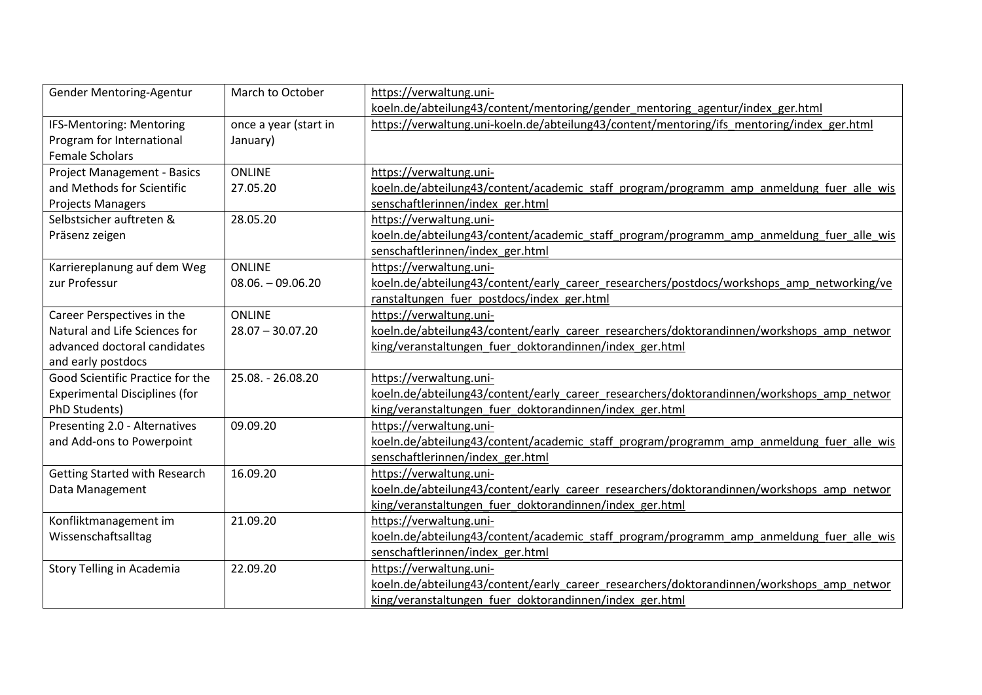| <b>Gender Mentoring-Agentur</b>      | March to October      | https://verwaltung.uni-                                                                    |
|--------------------------------------|-----------------------|--------------------------------------------------------------------------------------------|
|                                      |                       | koeln.de/abteilung43/content/mentoring/gender mentoring agentur/index ger.html             |
| IFS-Mentoring: Mentoring             | once a year (start in | https://verwaltung.uni-koeln.de/abteilung43/content/mentoring/ifs mentoring/index ger.html |
| Program for International            | January)              |                                                                                            |
| <b>Female Scholars</b>               |                       |                                                                                            |
| <b>Project Management - Basics</b>   | <b>ONLINE</b>         | https://verwaltung.uni-                                                                    |
| and Methods for Scientific           | 27.05.20              | koeln.de/abteilung43/content/academic staff program/programm amp anmeldung fuer alle wis   |
| <b>Projects Managers</b>             |                       | senschaftlerinnen/index ger.html                                                           |
| Selbstsicher auftreten &             | 28.05.20              | https://verwaltung.uni-                                                                    |
| Präsenz zeigen                       |                       | koeln.de/abteilung43/content/academic staff program/programm amp anmeldung fuer alle wis   |
|                                      |                       | senschaftlerinnen/index ger.html                                                           |
| Karriereplanung auf dem Weg          | <b>ONLINE</b>         | https://verwaltung.uni-                                                                    |
| zur Professur                        | $08.06. - 09.06.20$   | koeln.de/abteilung43/content/early career researchers/postdocs/workshops amp networking/ve |
|                                      |                       | ranstaltungen fuer postdocs/index ger.html                                                 |
| Career Perspectives in the           | <b>ONLINE</b>         | https://verwaltung.uni-                                                                    |
| Natural and Life Sciences for        | $28.07 - 30.07.20$    | koeln.de/abteilung43/content/early career researchers/doktorandinnen/workshops amp networ  |
| advanced doctoral candidates         |                       | king/veranstaltungen fuer doktorandinnen/index ger.html                                    |
| and early postdocs                   |                       |                                                                                            |
| Good Scientific Practice for the     | 25.08. - 26.08.20     | https://verwaltung.uni-                                                                    |
| <b>Experimental Disciplines (for</b> |                       | koeln.de/abteilung43/content/early career researchers/doktorandinnen/workshops amp networ  |
| PhD Students)                        |                       | king/veranstaltungen fuer doktorandinnen/index ger.html                                    |
| Presenting 2.0 - Alternatives        | 09.09.20              | https://verwaltung.uni-                                                                    |
| and Add-ons to Powerpoint            |                       | koeln.de/abteilung43/content/academic staff program/programm amp anmeldung fuer alle wis   |
|                                      |                       | senschaftlerinnen/index ger.html                                                           |
| <b>Getting Started with Research</b> | 16.09.20              | https://verwaltung.uni-                                                                    |
| Data Management                      |                       | koeln.de/abteilung43/content/early career researchers/doktorandinnen/workshops amp networ  |
|                                      |                       | king/veranstaltungen_fuer_doktorandinnen/index_ger.html                                    |
| Konfliktmanagement im                | 21.09.20              | https://verwaltung.uni-                                                                    |
| Wissenschaftsalltag                  |                       | koeln.de/abteilung43/content/academic_staff_program/programm_amp_anmeldung_fuer_alle_wis   |
|                                      |                       | senschaftlerinnen/index ger.html                                                           |
| Story Telling in Academia            | 22.09.20              | https://verwaltung.uni-                                                                    |
|                                      |                       | koeln.de/abteilung43/content/early career researchers/doktorandinnen/workshops amp networ  |
|                                      |                       | king/veranstaltungen fuer doktorandinnen/index ger.html                                    |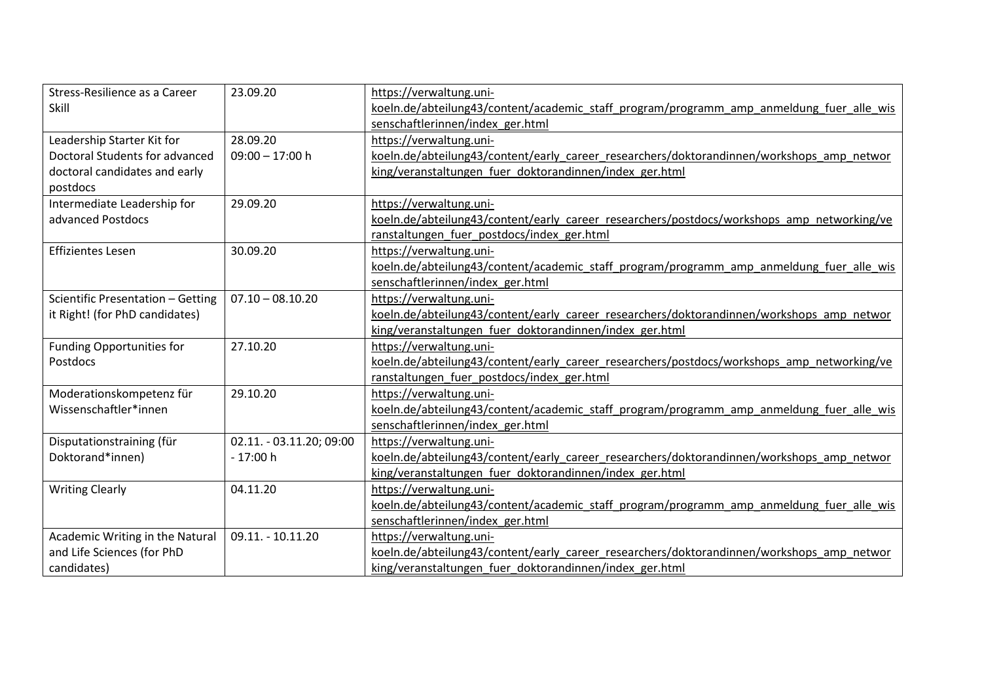| Stress-Resilience as a Career     | 23.09.20                 | https://verwaltung.uni-                                                                    |
|-----------------------------------|--------------------------|--------------------------------------------------------------------------------------------|
| Skill                             |                          | koeln.de/abteilung43/content/academic staff program/programm amp anmeldung fuer alle wis   |
|                                   |                          | senschaftlerinnen/index ger.html                                                           |
| Leadership Starter Kit for        | 28.09.20                 | https://verwaltung.uni-                                                                    |
| Doctoral Students for advanced    | $09:00 - 17:00$ h        | koeln.de/abteilung43/content/early career researchers/doktorandinnen/workshops amp networ  |
| doctoral candidates and early     |                          | king/veranstaltungen fuer doktorandinnen/index ger.html                                    |
| postdocs                          |                          |                                                                                            |
| Intermediate Leadership for       | 29.09.20                 | https://verwaltung.uni-                                                                    |
| advanced Postdocs                 |                          | koeln.de/abteilung43/content/early career researchers/postdocs/workshops amp networking/ve |
|                                   |                          | ranstaltungen fuer postdocs/index ger.html                                                 |
| <b>Effizientes Lesen</b>          | 30.09.20                 | https://verwaltung.uni-                                                                    |
|                                   |                          | koeln.de/abteilung43/content/academic staff program/programm amp anmeldung fuer alle wis   |
|                                   |                          | senschaftlerinnen/index ger.html                                                           |
| Scientific Presentation - Getting | $07.10 - 08.10.20$       | https://verwaltung.uni-                                                                    |
| it Right! (for PhD candidates)    |                          | koeln.de/abteilung43/content/early career researchers/doktorandinnen/workshops amp networ  |
|                                   |                          | king/veranstaltungen fuer doktorandinnen/index ger.html                                    |
| <b>Funding Opportunities for</b>  | 27.10.20                 | https://verwaltung.uni-                                                                    |
| Postdocs                          |                          | koeln.de/abteilung43/content/early career researchers/postdocs/workshops amp networking/ve |
|                                   |                          | ranstaltungen fuer postdocs/index ger.html                                                 |
| Moderationskompetenz für          | 29.10.20                 | https://verwaltung.uni-                                                                    |
| Wissenschaftler*innen             |                          | koeln.de/abteilung43/content/academic staff program/programm amp anmeldung fuer alle wis   |
|                                   |                          | senschaftlerinnen/index ger.html                                                           |
| Disputationstraining (für         | 02.11. - 03.11.20; 09:00 | https://verwaltung.uni-                                                                    |
| Doktorand*innen)                  | $-17:00h$                | koeln.de/abteilung43/content/early career researchers/doktorandinnen/workshops amp networ  |
|                                   |                          | king/veranstaltungen_fuer_doktorandinnen/index_ger.html                                    |
| <b>Writing Clearly</b>            | 04.11.20                 | https://verwaltung.uni-                                                                    |
|                                   |                          | koeln.de/abteilung43/content/academic_staff_program/programm_amp_anmeldung_fuer_alle_wis   |
|                                   |                          | senschaftlerinnen/index_ger.html                                                           |
| Academic Writing in the Natural   | 09.11. - 10.11.20        | https://verwaltung.uni-                                                                    |
| and Life Sciences (for PhD        |                          | koeln.de/abteilung43/content/early career researchers/doktorandinnen/workshops amp networ  |
| candidates)                       |                          | king/veranstaltungen fuer doktorandinnen/index ger.html                                    |